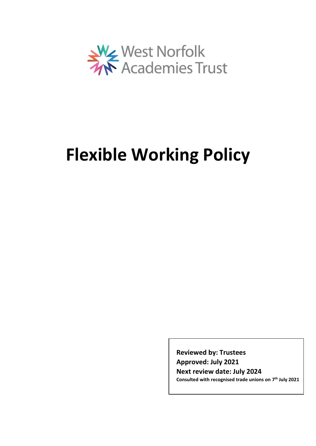

# **Flexible Working Policy**

**Reviewed by: Trustees Approved: July 2021 Next review date: July 2024 Consulted with recognised trade unions on 7 th July 2021**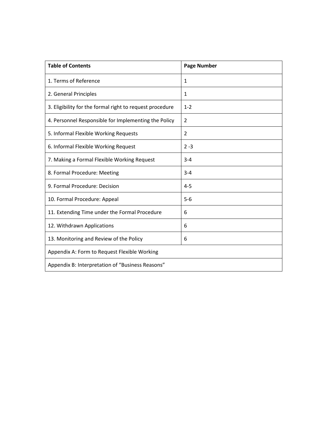| <b>Table of Contents</b>                                 | <b>Page Number</b> |  |
|----------------------------------------------------------|--------------------|--|
| 1. Terms of Reference                                    | 1                  |  |
| 2. General Principles                                    | 1                  |  |
| 3. Eligibility for the formal right to request procedure | $1 - 2$            |  |
| 4. Personnel Responsible for Implementing the Policy     | 2                  |  |
| 5. Informal Flexible Working Requests                    | 2                  |  |
| 6. Informal Flexible Working Request                     | $2 - 3$            |  |
| 7. Making a Formal Flexible Working Request              | $3 - 4$            |  |
| 8. Formal Procedure: Meeting                             | $3 - 4$            |  |
| 9. Formal Procedure: Decision                            | $4 - 5$            |  |
| 10. Formal Procedure: Appeal                             | $5-6$              |  |
| 11. Extending Time under the Formal Procedure            | 6                  |  |
| 12. Withdrawn Applications                               | 6                  |  |
| 13. Monitoring and Review of the Policy                  | 6                  |  |
| Appendix A: Form to Request Flexible Working             |                    |  |
| Appendix B: Interpretation of "Business Reasons"         |                    |  |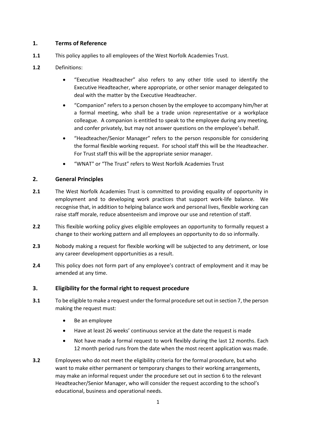# **1. Terms of Reference**

- **1.1** This policy applies to all employees of the West Norfolk Academies Trust.
- **1.2** Definitions:
	- "Executive Headteacher" also refers to any other title used to identify the Executive Headteacher, where appropriate, or other senior manager delegated to deal with the matter by the Executive Headteacher.
	- "Companion" refers to a person chosen by the employee to accompany him/her at a formal meeting, who shall be a trade union representative or a workplace colleague. A companion is entitled to speak to the employee during any meeting, and confer privately, but may not answer questions on the employee's behalf.
	- "Headteacher/Senior Manager" refers to the person responsible for considering the formal flexible working request. For school staff this will be the Headteacher. For Trust staff this will be the appropriate senior manager.
	- "WNAT" or "The Trust" refers to West Norfolk Academies Trust

# **2. General Principles**

- **2.1** The West Norfolk Academies Trust is committed to providing equality of opportunity in employment and to developing work practices that support work-life balance. We recognise that, in addition to helping balance work and personal lives, flexible working can raise staff morale, reduce absenteeism and improve our use and retention of staff.
- **2.2** This flexible working policy gives eligible employees an opportunity to formally request a change to their working pattern and all employees an opportunity to do so informally.
- **2.3** Nobody making a request for flexible working will be subjected to any detriment, or lose any career development opportunities as a result.
- **2.4** This policy does not form part of any employee's contract of employment and it may be amended at any time.

# **3. Eligibility for the formal right to request procedure**

- **3.1** To be eligible to make a request under the formal procedure set out in section 7, the person making the request must:
	- Be an employee
	- Have at least 26 weeks' continuous service at the date the request is made
	- Not have made a formal request to work flexibly during the last 12 months. Each 12 month period runs from the date when the most recent application was made.
- **3.2** Employees who do not meet the eligibility criteria for the formal procedure, but who want to make either permanent or temporary changes to their working arrangements, may make an informal request under the procedure set out in section 6 to the relevant Headteacher/Senior Manager, who will consider the request according to the school's educational, business and operational needs.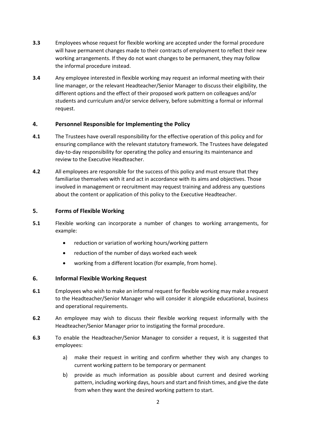- **3.3** Employees whose request for flexible working are accepted under the formal procedure will have permanent changes made to their contracts of employment to reflect their new working arrangements. If they do not want changes to be permanent, they may follow the informal procedure instead.
- **3.4** Any employee interested in flexible working may request an informal meeting with their line manager, or the relevant Headteacher/Senior Manager to discuss their eligibility, the different options and the effect of their proposed work pattern on colleagues and/or students and curriculum and/or service delivery, before submitting a formal or informal request.

# **4. Personnel Responsible for Implementing the Policy**

- **4.1** The Trustees have overall responsibility for the effective operation of this policy and for ensuring compliance with the relevant statutory framework. The Trustees have delegated day-to-day responsibility for operating the policy and ensuring its maintenance and review to the Executive Headteacher.
- **4.2** All employees are responsible for the success of this policy and must ensure that they familiarise themselves with it and act in accordance with its aims and objectives. Those involved in management or recruitment may request training and address any questions about the content or application of this policy to the Executive Headteacher.

# **5. Forms of Flexible Working**

- **5.1** Flexible working can incorporate a number of changes to working arrangements, for example:
	- reduction or variation of working hours/working pattern
	- reduction of the number of days worked each week
	- working from a different location (for example, from home).

# **6. Informal Flexible Working Request**

- **6.1** Employees who wish to make an informal request for flexible working may make a request to the Headteacher/Senior Manager who will consider it alongside educational, business and operational requirements.
- **6.2** An employee may wish to discuss their flexible working request informally with the Headteacher/Senior Manager prior to instigating the formal procedure.
- **6.3** To enable the Headteacher/Senior Manager to consider a request, it is suggested that employees:
	- a) make their request in writing and confirm whether they wish any changes to current working pattern to be temporary or permanent
	- b) provide as much information as possible about current and desired working pattern, including working days, hours and start and finish times, and give the date from when they want the desired working pattern to start.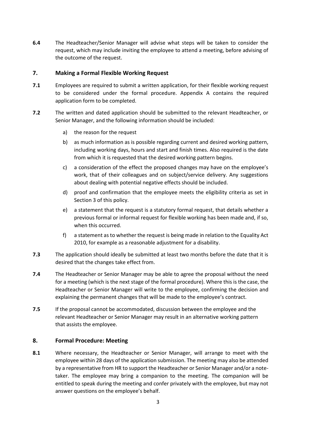**6.4** The Headteacher/Senior Manager will advise what steps will be taken to consider the request, which may include inviting the employee to attend a meeting, before advising of the outcome of the request.

# **7. Making a Formal Flexible Working Request**

- **7.1** Employees are required to submit a written application, for their flexible working request to be considered under the formal procedure. Appendix A contains the required application form to be completed.
- **7.2** The written and dated application should be submitted to the relevant Headteacher, or Senior Manager, and the following information should be included:
	- a) the reason for the request
	- b) as much information as is possible regarding current and desired working pattern, including working days, hours and start and finish times. Also required is the date from which it is requested that the desired working pattern begins.
	- c) a consideration of the effect the proposed changes may have on the employee's work, that of their colleagues and on subject/service delivery. Any suggestions about dealing with potential negative effects should be included.
	- d) proof and confirmation that the employee meets the eligibility criteria as set in Section 3 of this policy.
	- e) a statement that the request is a statutory formal request, that details whether a previous formal or informal request for flexible working has been made and, if so, when this occurred.
	- f) a statement as to whether the request is being made in relation to the Equality Act 2010, for example as a reasonable adjustment for a disability.
- **7.3** The application should ideally be submitted at least two months before the date that it is desired that the changes take effect from.
- **7.4** The Headteacher or Senior Manager may be able to agree the proposal without the need for a meeting (which is the next stage of the formal procedure). Where this is the case, the Headteacher or Senior Manager will write to the employee, confirming the decision and explaining the permanent changes that will be made to the employee's contract.
- **7.5** If the proposal cannot be accommodated, discussion between the employee and the relevant Headteacher or Senior Manager may result in an alternative working pattern that assists the employee.

# **8. Formal Procedure: Meeting**

**8.1** Where necessary, the Headteacher or Senior Manager, will arrange to meet with the employee within 28 days of the application submission. The meeting may also be attended by a representative from HR to support the Headteacher or Senior Manager and/or a notetaker. The employee may bring a companion to the meeting. The companion will be entitled to speak during the meeting and confer privately with the employee, but may not answer questions on the employee's behalf.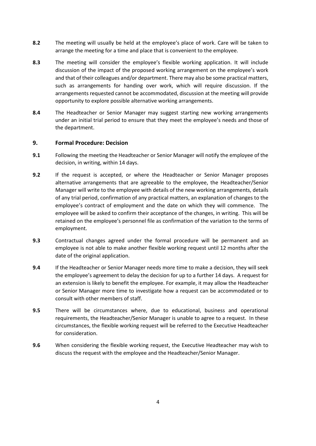- **8.2** The meeting will usually be held at the employee's place of work. Care will be taken to arrange the meeting for a time and place that is convenient to the employee.
- **8.3** The meeting will consider the employee's flexible working application. It will include discussion of the impact of the proposed working arrangement on the employee's work and that of their colleagues and/or department. There may also be some practical matters, such as arrangements for handing over work, which will require discussion. If the arrangements requested cannot be accommodated, discussion at the meeting will provide opportunity to explore possible alternative working arrangements.
- **8.4** The Headteacher or Senior Manager may suggest starting new working arrangements under an initial trial period to ensure that they meet the employee's needs and those of the department.

# **9. Formal Procedure: Decision**

- **9.1** Following the meeting the Headteacher or Senior Manager will notify the employee of the decision, in writing, within 14 days.
- **9.2** If the request is accepted, or where the Headteacher or Senior Manager proposes alternative arrangements that are agreeable to the employee, the Headteacher/Senior Manager will write to the employee with details of the new working arrangements, details of any trial period, confirmation of any practical matters, an explanation of changes to the employee's contract of employment and the date on which they will commence. The employee will be asked to confirm their acceptance of the changes, in writing. This will be retained on the employee's personnel file as confirmation of the variation to the terms of employment.
- **9.3** Contractual changes agreed under the formal procedure will be permanent and an employee is not able to make another flexible working request until 12 months after the date of the original application.
- **9.4** If the Headteacher or Senior Manager needs more time to make a decision, they will seek the employee's agreement to delay the decision for up to a further 14 days. A request for an extension is likely to benefit the employee. For example, it may allow the Headteacher or Senior Manager more time to investigate how a request can be accommodated or to consult with other members of staff.
- **9.5** There will be circumstances where, due to educational, business and operational requirements, the Headteacher/Senior Manager is unable to agree to a request. In these circumstances, the flexible working request will be referred to the Executive Headteacher for consideration.
- **9.6** When considering the flexible working request, the Executive Headteacher may wish to discuss the request with the employee and the Headteacher/Senior Manager.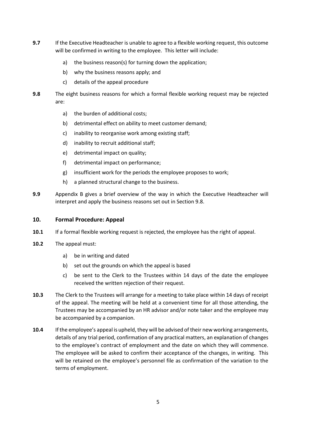- **9.7** If the Executive Headteacher is unable to agree to a flexible working request, this outcome will be confirmed in writing to the employee. This letter will include:
	- a) the business reason(s) for turning down the application;
	- b) why the business reasons apply; and
	- c) details of the appeal procedure
- **9.8** The eight business reasons for which a formal flexible working request may be rejected are:
	- a) the burden of additional costs;
	- b) detrimental effect on ability to meet customer demand;
	- c) inability to reorganise work among existing staff;
	- d) inability to recruit additional staff;
	- e) detrimental impact on quality;
	- f) detrimental impact on performance;
	- g) insufficient work for the periods the employee proposes to work;
	- h) a planned structural change to the business.
- **9.9** Appendix B gives a brief overview of the way in which the Executive Headteacher will interpret and apply the business reasons set out in Section 9.8.

# **10. Formal Procedure: Appeal**

- **10.1** If a formal flexible working request is rejected, the employee has the right of appeal.
- **10.2** The appeal must:
	- a) be in writing and dated
	- b) set out the grounds on which the appeal is based
	- c) be sent to the Clerk to the Trustees within 14 days of the date the employee received the written rejection of their request.
- **10.3** The Clerk to the Trustees will arrange for a meeting to take place within 14 days of receipt of the appeal. The meeting will be held at a convenient time for all those attending, the Trustees may be accompanied by an HR advisor and/or note taker and the employee may be accompanied by a companion.
- **10.4** If the employee's appeal is upheld, they will be advised of their new working arrangements, details of any trial period, confirmation of any practical matters, an explanation of changes to the employee's contract of employment and the date on which they will commence. The employee will be asked to confirm their acceptance of the changes, in writing. This will be retained on the employee's personnel file as confirmation of the variation to the terms of employment.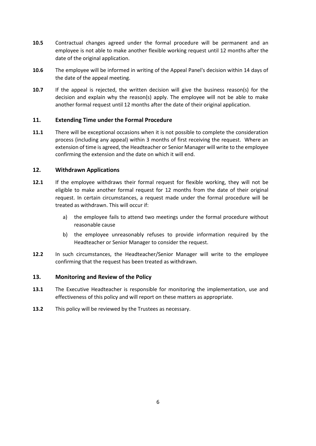- **10.5** Contractual changes agreed under the formal procedure will be permanent and an employee is not able to make another flexible working request until 12 months after the date of the original application.
- **10.6** The employee will be informed in writing of the Appeal Panel's decision within 14 days of the date of the appeal meeting.
- **10.7** If the appeal is rejected, the written decision will give the business reason(s) for the decision and explain why the reason(s) apply. The employee will not be able to make another formal request until 12 months after the date of their original application.

# **11. Extending Time under the Formal Procedure**

**11.1** There will be exceptional occasions when it is not possible to complete the consideration process (including any appeal) within 3 months of first receiving the request. Where an extension of time is agreed, the Headteacher or Senior Manager will write to the employee confirming the extension and the date on which it will end.

# **12. Withdrawn Applications**

- **12.1** If the employee withdraws their formal request for flexible working, they will not be eligible to make another formal request for 12 months from the date of their original request. In certain circumstances, a request made under the formal procedure will be treated as withdrawn. This will occur if:
	- a) the employee fails to attend two meetings under the formal procedure without reasonable cause
	- b) the employee unreasonably refuses to provide information required by the Headteacher or Senior Manager to consider the request.
- **12.2** In such circumstances, the Headteacher/Senior Manager will write to the employee confirming that the request has been treated as withdrawn.

# **13. Monitoring and Review of the Policy**

- **13.1** The Executive Headteacher is responsible for monitoring the implementation, use and effectiveness of this policy and will report on these matters as appropriate.
- **13.2** This policy will be reviewed by the Trustees as necessary.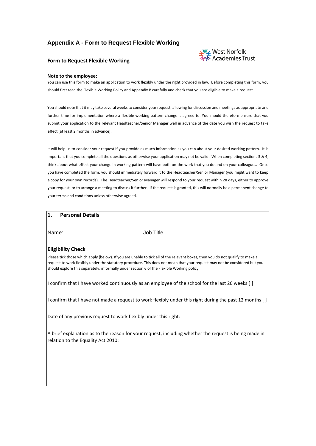# **Appendix A - Form to Request Flexible Working**

# **West Norfolk**<br>MY Academies Trust

#### **Form to Request Flexible Working**

#### **Note to the employee:**

You can use this form to make an application to work flexibly under the right provided in law. Before completing this form, you should first read the Flexible Working Policy and Appendix B carefully and check that you are eligible to make a request.

You should note that it may take several weeks to consider your request, allowing for discussion and meetings as appropriate and further time for implementation where a flexible working pattern change is agreed to. You should therefore ensure that you submit your application to the relevant Headteacher/Senior Manager well in advance of the date you wish the request to take effect (at least 2 months in advance).

It will help us to consider your request if you provide as much information as you can about your desired working pattern. It is important that you complete all the questions as otherwise your application may not be valid. When completing sections 3 & 4, think about what effect your change in working pattern will have both on the work that you do and on your colleagues. Once you have completed the form, you should immediately forward it to the Headteacher/Senior Manager (you might want to keep a copy for your own records). The Headteacher/Senior Manager will respond to your request within 28 days, either to approve your request, or to arrange a meeting to discuss it further. If the request is granted, this will normally be a permanent change to your terms and conditions unless otherwise agreed.

# **1. Personal Details**

Name: Job Title

#### **Eligibility Check**

Please tick those which apply (below). If you are unable to tick all of the relevant boxes, then you do not qualify to make a request to work flexibly under the statutory procedure. This does not mean that your request may not be considered but you should explore this separately, informally under section 6 of the Flexible Working policy.

I confirm that I have worked continuously as an employee of the school for the last 26 weeks [ ]

I confirm that I have not made a request to work flexibly under this right during the past 12 months [ ]

Date of any previous request to work flexibly under this right:

A brief explanation as to the reason for your request, including whether the request is being made in relation to the Equality Act 2010: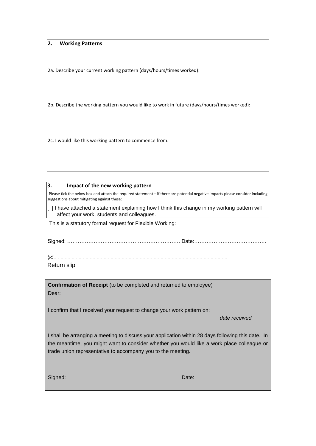# **2. Working Patterns**

2a. Describe your current working pattern (days/hours/times worked):

2b. Describe the working pattern you would like to work in future (days/hours/times worked):

2c. I would like this working pattern to commence from:

#### **3. Impact of the new working pattern**

Please tick the below box and attach the required statement – if there are potential negative impacts please consider including suggestions about mitigating against these:

[ ] I have attached a statement explaining how I think this change in my working pattern will affect your work, students and colleagues.

This is a statutory formal request for Flexible Working:

| Sidned: …………………………………………………………… Date:…………………………………… |
|-----------------------------------------------------|
|                                                     |

- - - - - - - - - - - - - - - - - - - - - - - - - - - - - - - - - - - - - - - - - - - - - - - - - Return slip

**Confirmation of Receipt** (to be completed and returned to employee) Dear:

I confirm that I received your request to change your work pattern on:

*date received* 

I shall be arranging a meeting to discuss your application within 28 days following this date. In the meantime, you might want to consider whether you would like a work place colleague or trade union representative to accompany you to the meeting.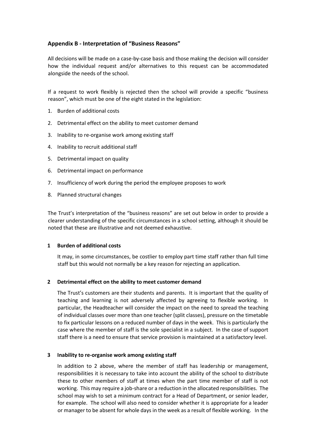# **Appendix B - Interpretation of "Business Reasons"**

All decisions will be made on a case-by-case basis and those making the decision will consider how the individual request and/or alternatives to this request can be accommodated alongside the needs of the school.

If a request to work flexibly is rejected then the school will provide a specific "business reason", which must be one of the eight stated in the legislation:

- 1. Burden of additional costs
- 2. Detrimental effect on the ability to meet customer demand
- 3. Inability to re-organise work among existing staff
- 4. Inability to recruit additional staff
- 5. Detrimental impact on quality
- 6. Detrimental impact on performance
- 7. Insufficiency of work during the period the employee proposes to work
- 8. Planned structural changes

The Trust's interpretation of the "business reasons" are set out below in order to provide a clearer understanding of the specific circumstances in a school setting, although it should be noted that these are illustrative and not deemed exhaustive.

# **1 Burden of additional costs**

It may, in some circumstances, be costlier to employ part time staff rather than full time staff but this would not normally be a key reason for rejecting an application.

# **2 Detrimental effect on the ability to meet customer demand**

The Trust's customers are their students and parents. It is important that the quality of teaching and learning is not adversely affected by agreeing to flexible working. In particular, the Headteacher will consider the impact on the need to spread the teaching of individual classes over more than one teacher (split classes), pressure on the timetable to fix particular lessons on a reduced number of days in the week. This is particularly the case where the member of staff is the sole specialist in a subject. In the case of support staff there is a need to ensure that service provision is maintained at a satisfactory level.

# **3 Inability to re-organise work among existing staff**

In addition to 2 above, where the member of staff has leadership or management, responsibilities it is necessary to take into account the ability of the school to distribute these to other members of staff at times when the part time member of staff is not working. This may require a job-share or a reduction in the allocated responsibilities. The school may wish to set a minimum contract for a Head of Department, or senior leader, for example. The school will also need to consider whether it is appropriate for a leader or manager to be absent for whole days in the week as a result of flexible working. In the